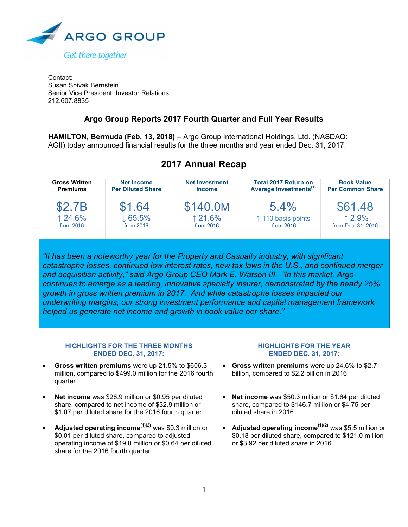

Contact: Susan Spivak Bernstein Senior Vice President, Investor Relations 212.607.8835

# Argo Group Reports 2017 Fourth Quarter and Full Year Results

HAMILTON, Bermuda (Feb. 13, 2018) – Argo Group International Holdings, Ltd. (NASDAQ: AGII) today announced financial results for the three months and year ended Dec. 31, 2017.

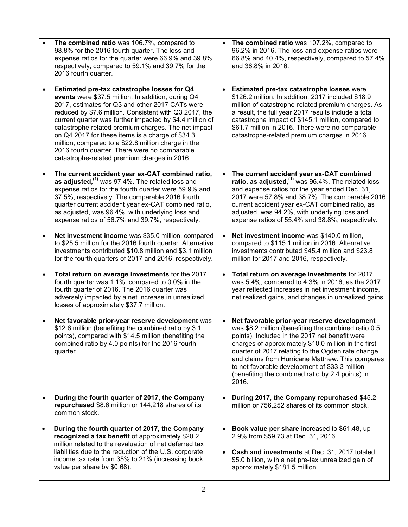- The combined ratio was 106.7%, compared to 98.8% for the 2016 fourth quarter. The loss and expense ratios for the quarter were 66.9% and 39.8%, respectively, compared to 59.1% and 39.7% for the 2016 fourth quarter.
- Estimated pre-tax catastrophe losses for Q4 events were \$37.5 million. In addition, during Q4 2017, estimates for Q3 and other 2017 CATs were reduced by \$7.6 million. Consistent with Q3 2017, the current quarter was further impacted by \$4.4 million of catastrophe related premium charges. The net impact on Q4 2017 for these items is a charge of \$34.3 million, compared to a \$22.8 million charge in the 2016 fourth quarter. There were no comparable catastrophe-related premium charges in 2016.
- The current accident year ex-CAT combined ratio, as adjusted,<sup>(1)</sup> was 97.4%. The related loss and expense ratios for the fourth quarter were 59.9% and 37.5%, respectively. The comparable 2016 fourth quarter current accident year ex-CAT combined ratio, as adjusted, was 96.4%, with underlying loss and expense ratios of 56.7% and 39.7%, respectively.
- Net investment income was \$35.0 million, compared to \$25.5 million for the 2016 fourth quarter. Alternative investments contributed \$10.8 million and \$3.1 million for the fourth quarters of 2017 and 2016, respectively.
- Total return on average investments for the 2017 fourth quarter was 1.1%, compared to 0.0% in the fourth quarter of 2016. The 2016 quarter was adversely impacted by a net increase in unrealized losses of approximately \$37.7 million.
- Net favorable prior-year reserve development was \$12.6 million (benefiting the combined ratio by 3.1 points), compared with \$14.5 million (benefiting the combined ratio by 4.0 points) for the 2016 fourth quarter.
- During the fourth quarter of 2017, the Company repurchased \$8.6 million or 144,218 shares of its common stock.
- During the fourth quarter of 2017, the Company recognized a tax benefit of approximately \$20.2 million related to the revaluation of net deferred tax liabilities due to the reduction of the U.S. corporate income tax rate from 35% to 21% (increasing book value per share by \$0.68).
- The combined ratio was 107.2%, compared to 96.2% in 2016. The loss and expense ratios were 66.8% and 40.4%, respectively, compared to 57.4% and 38.8% in 2016.
- Estimated pre-tax catastrophe losses were \$126.2 million. In addition, 2017 included \$18.9 million of catastrophe-related premium charges. As a result, the full year 2017 results include a total catastrophe impact of \$145.1 million, compared to \$61.7 million in 2016. There were no comparable catastrophe-related premium charges in 2016.
- The current accident year ex-CAT combined ratio, as adjusted,  $(1)$  was 96.4%. The related loss and expense ratios for the year ended Dec. 31, 2017 were 57.8% and 38.7%. The comparable 2016 current accident year ex-CAT combined ratio, as adjusted, was 94.2%, with underlying loss and expense ratios of 55.4% and 38.8%, respectively.
- Net investment income was \$140.0 million, compared to \$115.1 million in 2016. Alternative investments contributed \$45.4 million and \$23.8 million for 2017 and 2016, respectively.
- Total return on average investments for 2017 was 5.4%, compared to 4.3% in 2016, as the 2017 year reflected increases in net investment income, net realized gains, and changes in unrealized gains.
- Net favorable prior-year reserve development was \$8.2 million (benefiting the combined ratio 0.5 points). Included in the 2017 net benefit were charges of approximately \$10.0 million in the first quarter of 2017 relating to the Ogden rate change and claims from Hurricane Matthew. This compares to net favorable development of \$33.3 million (benefiting the combined ratio by 2.4 points) in 2016.
- During 2017, the Company repurchased \$45.2 million or 756,252 shares of its common stock.
- Book value per share increased to \$61.48, up 2.9% from \$59.73 at Dec. 31, 2016.
- Cash and investments at Dec. 31, 2017 totaled \$5.0 billion, with a net pre-tax unrealized gain of approximately \$181.5 million.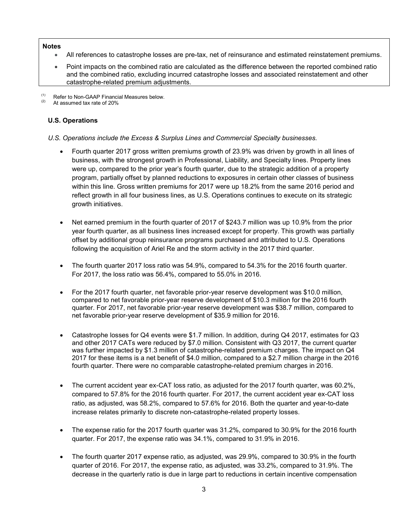#### Notes

- All references to catastrophe losses are pre-tax, net of reinsurance and estimated reinstatement premiums.
- Point impacts on the combined ratio are calculated as the difference between the reported combined ratio and the combined ratio, excluding incurred catastrophe losses and associated reinstatement and other catastrophe-related premium adjustments.

 $\frac{f(1)}{f(2)}$  Refer to Non-GAAP Financial Measures below.

 $\mu^{(2)}$  At assumed tax rate of 20%

# U.S. Operations

- U.S. Operations include the Excess & Surplus Lines and Commercial Specialty businesses.
	- Fourth quarter 2017 gross written premiums growth of 23.9% was driven by growth in all lines of business, with the strongest growth in Professional, Liability, and Specialty lines. Property lines were up, compared to the prior year's fourth quarter, due to the strategic addition of a property program, partially offset by planned reductions to exposures in certain other classes of business within this line. Gross written premiums for 2017 were up 18.2% from the same 2016 period and reflect growth in all four business lines, as U.S. Operations continues to execute on its strategic growth initiatives.
	- Net earned premium in the fourth quarter of 2017 of \$243.7 million was up 10.9% from the prior year fourth quarter, as all business lines increased except for property. This growth was partially offset by additional group reinsurance programs purchased and attributed to U.S. Operations following the acquisition of Ariel Re and the storm activity in the 2017 third quarter.
	- The fourth quarter 2017 loss ratio was 54.9%, compared to 54.3% for the 2016 fourth quarter. For 2017, the loss ratio was 56.4%, compared to 55.0% in 2016.
	- For the 2017 fourth quarter, net favorable prior-year reserve development was \$10.0 million, compared to net favorable prior-year reserve development of \$10.3 million for the 2016 fourth quarter. For 2017, net favorable prior-year reserve development was \$38.7 million, compared to net favorable prior-year reserve development of \$35.9 million for 2016.
	- Catastrophe losses for Q4 events were \$1.7 million. In addition, during Q4 2017, estimates for Q3 and other 2017 CATs were reduced by \$7.0 million. Consistent with Q3 2017, the current quarter was further impacted by \$1.3 million of catastrophe-related premium charges. The impact on Q4 2017 for these items is a net benefit of \$4.0 million, compared to a \$2.7 million charge in the 2016 fourth quarter. There were no comparable catastrophe-related premium charges in 2016.
	- The current accident year ex-CAT loss ratio, as adjusted for the 2017 fourth quarter, was 60.2%, compared to 57.8% for the 2016 fourth quarter. For 2017, the current accident year ex-CAT loss ratio, as adjusted, was 58.2%, compared to 57.6% for 2016. Both the quarter and year-to-date increase relates primarily to discrete non-catastrophe-related property losses.
	- The expense ratio for the 2017 fourth quarter was 31.2%, compared to 30.9% for the 2016 fourth quarter. For 2017, the expense ratio was 34.1%, compared to 31.9% in 2016.
	- The fourth quarter 2017 expense ratio, as adjusted, was 29.9%, compared to 30.9% in the fourth quarter of 2016. For 2017, the expense ratio, as adjusted, was 33.2%, compared to 31.9%. The decrease in the quarterly ratio is due in large part to reductions in certain incentive compensation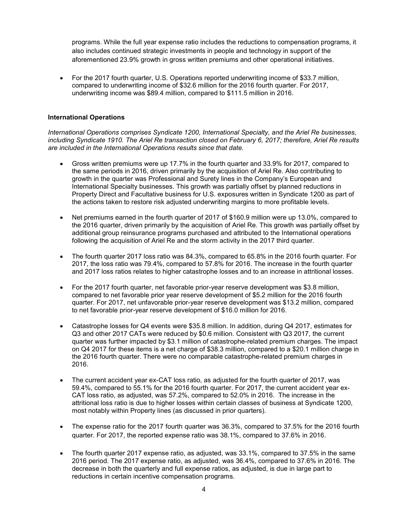programs. While the full year expense ratio includes the reductions to compensation programs, it also includes continued strategic investments in people and technology in support of the aforementioned 23.9% growth in gross written premiums and other operational initiatives.

 For the 2017 fourth quarter, U.S. Operations reported underwriting income of \$33.7 million, compared to underwriting income of \$32.6 million for the 2016 fourth quarter. For 2017, underwriting income was \$89.4 million, compared to \$111.5 million in 2016.

# International Operations

International Operations comprises Syndicate 1200, International Specialty, and the Ariel Re businesses, including Syndicate 1910. The Ariel Re transaction closed on February 6, 2017; therefore, Ariel Re results are included in the International Operations results since that date.

- Gross written premiums were up 17.7% in the fourth quarter and 33.9% for 2017, compared to the same periods in 2016, driven primarily by the acquisition of Ariel Re. Also contributing to growth in the quarter was Professional and Surety lines in the Company's European and International Specialty businesses. This growth was partially offset by planned reductions in Property Direct and Facultative business for U.S. exposures written in Syndicate 1200 as part of the actions taken to restore risk adjusted underwriting margins to more profitable levels.
- Net premiums earned in the fourth quarter of 2017 of \$160.9 million were up 13.0%, compared to the 2016 quarter, driven primarily by the acquisition of Ariel Re. This growth was partially offset by additional group reinsurance programs purchased and attributed to the International operations following the acquisition of Ariel Re and the storm activity in the 2017 third quarter.
- The fourth quarter 2017 loss ratio was 84.3%, compared to 65.8% in the 2016 fourth quarter. For 2017, the loss ratio was 79.4%, compared to 57.8% for 2016. The increase in the fourth quarter and 2017 loss ratios relates to higher catastrophe losses and to an increase in attritional losses.
- For the 2017 fourth quarter, net favorable prior-year reserve development was \$3.8 million, compared to net favorable prior year reserve development of \$5.2 million for the 2016 fourth quarter. For 2017, net unfavorable prior-year reserve development was \$13.2 million, compared to net favorable prior-year reserve development of \$16.0 million for 2016.
- Catastrophe losses for Q4 events were \$35.8 million. In addition, during Q4 2017, estimates for Q3 and other 2017 CATs were reduced by \$0.6 million. Consistent with Q3 2017, the current quarter was further impacted by \$3.1 million of catastrophe-related premium charges. The impact on Q4 2017 for these items is a net charge of \$38.3 million, compared to a \$20.1 million charge in the 2016 fourth quarter. There were no comparable catastrophe-related premium charges in 2016.
- The current accident year ex-CAT loss ratio, as adjusted for the fourth quarter of 2017, was 59.4%, compared to 55.1% for the 2016 fourth quarter. For 2017, the current accident year ex-CAT loss ratio, as adjusted, was 57.2%, compared to 52.0% in 2016. The increase in the attritional loss ratio is due to higher losses within certain classes of business at Syndicate 1200, most notably within Property lines (as discussed in prior quarters).
- The expense ratio for the 2017 fourth quarter was 36.3%, compared to 37.5% for the 2016 fourth quarter. For 2017, the reported expense ratio was 38.1%, compared to 37.6% in 2016.
- The fourth quarter 2017 expense ratio, as adjusted, was 33.1%, compared to 37.5% in the same 2016 period. The 2017 expense ratio, as adjusted, was 36.4%, compared to 37.6% in 2016. The decrease in both the quarterly and full expense ratios, as adjusted, is due in large part to reductions in certain incentive compensation programs.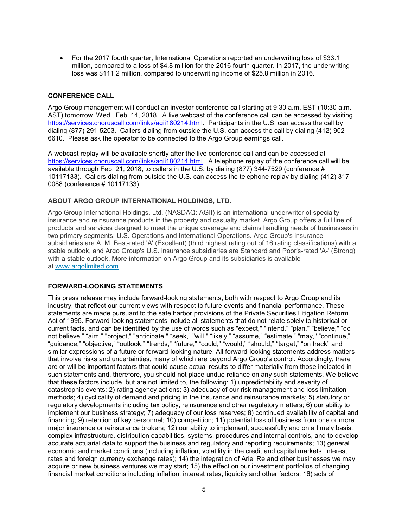For the 2017 fourth quarter, International Operations reported an underwriting loss of \$33.1 million, compared to a loss of \$4.8 million for the 2016 fourth quarter. In 2017, the underwriting loss was \$111.2 million, compared to underwriting income of \$25.8 million in 2016.

### CONFERENCE CALL

Argo Group management will conduct an investor conference call starting at 9:30 a.m. EST (10:30 a.m. AST) tomorrow, Wed., Feb. 14, 2018. A live webcast of the conference call can be accessed by visiting https://services.choruscall.com/links/agii180214.html. Participants in the U.S. can access the call by dialing (877) 291-5203. Callers dialing from outside the U.S. can access the call by dialing (412) 902- 6610. Please ask the operator to be connected to the Argo Group earnings call.

A webcast replay will be available shortly after the live conference call and can be accessed at https://services.choruscall.com/links/agii180214.html. A telephone replay of the conference call will be available through Feb. 21, 2018, to callers in the U.S. by dialing  $(877)$  344-7529 (conference # 10117133). Callers dialing from outside the U.S. can access the telephone replay by dialing (412) 317- 0088 (conference # 10117133).

## ABOUT ARGO GROUP INTERNATIONAL HOLDINGS, LTD.

Argo Group International Holdings, Ltd. (NASDAQ: AGII) is an international underwriter of specialty insurance and reinsurance products in the property and casualty market. Argo Group offers a full line of products and services designed to meet the unique coverage and claims handling needs of businesses in two primary segments: U.S. Operations and International Operations. Argo Group's insurance subsidiaries are A. M. Best-rated 'A' (Excellent) (third highest rating out of 16 rating classifications) with a stable outlook, and Argo Group's U.S. insurance subsidiaries are Standard and Poor's-rated 'A-' (Strong) with a stable outlook. More information on Argo Group and its subsidiaries is available at www.argolimited.com.

#### FORWARD-LOOKING STATEMENTS

This press release may include forward-looking statements, both with respect to Argo Group and its industry, that reflect our current views with respect to future events and financial performance. These statements are made pursuant to the safe harbor provisions of the Private Securities Litigation Reform Act of 1995. Forward-looking statements include all statements that do not relate solely to historical or current facts, and can be identified by the use of words such as "expect," "intend," "plan," "believe," "do not believe," "aim," "project," "anticipate," "seek," "will," "likely," "assume," "estimate," "may," "continue," "guidance," "objective," "outlook," "trends," "future," "could," "would," "should," "target," "on track" and similar expressions of a future or forward-looking nature. All forward-looking statements address matters that involve risks and uncertainties, many of which are beyond Argo Group's control. Accordingly, there are or will be important factors that could cause actual results to differ materially from those indicated in such statements and, therefore, you should not place undue reliance on any such statements. We believe that these factors include, but are not limited to, the following: 1) unpredictability and severity of catastrophic events; 2) rating agency actions; 3) adequacy of our risk management and loss limitation methods; 4) cyclicality of demand and pricing in the insurance and reinsurance markets; 5) statutory or regulatory developments including tax policy, reinsurance and other regulatory matters; 6) our ability to implement our business strategy; 7) adequacy of our loss reserves; 8) continued availability of capital and financing; 9) retention of key personnel; 10) competition; 11) potential loss of business from one or more major insurance or reinsurance brokers; 12) our ability to implement, successfully and on a timely basis, complex infrastructure, distribution capabilities, systems, procedures and internal controls, and to develop accurate actuarial data to support the business and regulatory and reporting requirements; 13) general economic and market conditions (including inflation, volatility in the credit and capital markets, interest rates and foreign currency exchange rates); 14) the integration of Ariel Re and other businesses we may acquire or new business ventures we may start; 15) the effect on our investment portfolios of changing financial market conditions including inflation, interest rates, liquidity and other factors; 16) acts of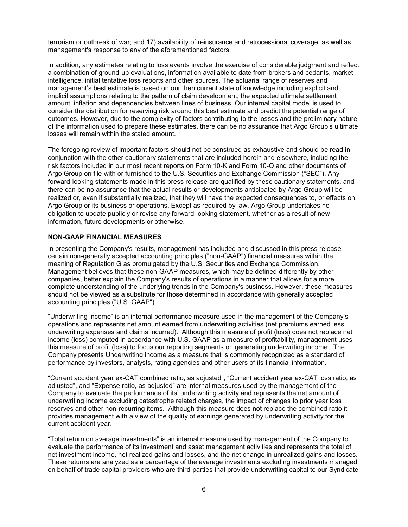terrorism or outbreak of war; and 17) availability of reinsurance and retrocessional coverage, as well as management's response to any of the aforementioned factors.

In addition, any estimates relating to loss events involve the exercise of considerable judgment and reflect a combination of ground-up evaluations, information available to date from brokers and cedants, market intelligence, initial tentative loss reports and other sources. The actuarial range of reserves and management's best estimate is based on our then current state of knowledge including explicit and implicit assumptions relating to the pattern of claim development, the expected ultimate settlement amount, inflation and dependencies between lines of business. Our internal capital model is used to consider the distribution for reserving risk around this best estimate and predict the potential range of outcomes. However, due to the complexity of factors contributing to the losses and the preliminary nature of the information used to prepare these estimates, there can be no assurance that Argo Group's ultimate losses will remain within the stated amount.

The foregoing review of important factors should not be construed as exhaustive and should be read in conjunction with the other cautionary statements that are included herein and elsewhere, including the risk factors included in our most recent reports on Form 10-K and Form 10-Q and other documents of Argo Group on file with or furnished to the U.S. Securities and Exchange Commission ("SEC"). Any forward-looking statements made in this press release are qualified by these cautionary statements, and there can be no assurance that the actual results or developments anticipated by Argo Group will be realized or, even if substantially realized, that they will have the expected consequences to, or effects on, Argo Group or its business or operations. Except as required by law, Argo Group undertakes no obligation to update publicly or revise any forward-looking statement, whether as a result of new information, future developments or otherwise.

### NON-GAAP FINANCIAL MEASURES

In presenting the Company's results, management has included and discussed in this press release certain non-generally accepted accounting principles ("non-GAAP") financial measures within the meaning of Regulation G as promulgated by the U.S. Securities and Exchange Commission. Management believes that these non-GAAP measures, which may be defined differently by other companies, better explain the Company's results of operations in a manner that allows for a more complete understanding of the underlying trends in the Company's business. However, these measures should not be viewed as a substitute for those determined in accordance with generally accepted accounting principles ("U.S. GAAP").

"Underwriting income" is an internal performance measure used in the management of the Company's operations and represents net amount earned from underwriting activities (net premiums earned less underwriting expenses and claims incurred). Although this measure of profit (loss) does not replace net income (loss) computed in accordance with U.S. GAAP as a measure of profitability, management uses this measure of profit (loss) to focus our reporting segments on generating underwriting income. The Company presents Underwriting income as a measure that is commonly recognized as a standard of performance by investors, analysts, rating agencies and other users of its financial information.

"Current accident year ex-CAT combined ratio, as adjusted", "Current accident year ex-CAT loss ratio, as adjusted", and "Expense ratio, as adjusted" are internal measures used by the management of the Company to evaluate the performance of its' underwriting activity and represents the net amount of underwriting income excluding catastrophe related charges, the impact of changes to prior year loss reserves and other non-recurring items. Although this measure does not replace the combined ratio it provides management with a view of the quality of earnings generated by underwriting activity for the current accident year.

"Total return on average investments" is an internal measure used by management of the Company to evaluate the performance of its investment and asset management activities and represents the total of net investment income, net realized gains and losses, and the net change in unrealized gains and losses. These returns are analyzed as a percentage of the average investments excluding investments managed on behalf of trade capital providers who are third-parties that provide underwriting capital to our Syndicate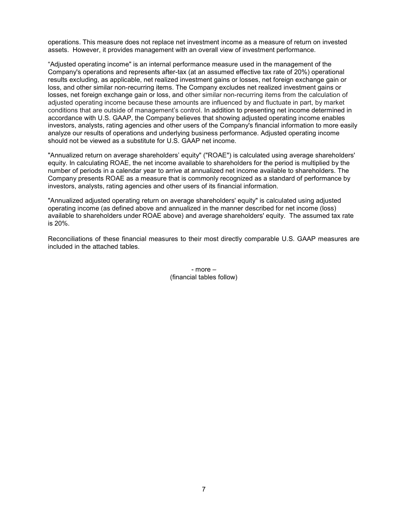operations. This measure does not replace net investment income as a measure of return on invested assets. However, it provides management with an overall view of investment performance.

"Adjusted operating income" is an internal performance measure used in the management of the Company's operations and represents after-tax (at an assumed effective tax rate of 20%) operational results excluding, as applicable, net realized investment gains or losses, net foreign exchange gain or loss, and other similar non-recurring items. The Company excludes net realized investment gains or losses, net foreign exchange gain or loss, and other similar non-recurring items from the calculation of adjusted operating income because these amounts are influenced by and fluctuate in part, by market conditions that are outside of management's control. In addition to presenting net income determined in accordance with U.S. GAAP, the Company believes that showing adjusted operating income enables investors, analysts, rating agencies and other users of the Company's financial information to more easily analyze our results of operations and underlying business performance. Adjusted operating income should not be viewed as a substitute for U.S. GAAP net income.

"Annualized return on average shareholders' equity" ("ROAE") is calculated using average shareholders' equity. In calculating ROAE, the net income available to shareholders for the period is multiplied by the number of periods in a calendar year to arrive at annualized net income available to shareholders. The Company presents ROAE as a measure that is commonly recognized as a standard of performance by investors, analysts, rating agencies and other users of its financial information.

"Annualized adjusted operating return on average shareholders' equity" is calculated using adjusted operating income (as defined above and annualized in the manner described for net income (loss) available to shareholders under ROAE above) and average shareholders' equity. The assumed tax rate is 20%.

Reconciliations of these financial measures to their most directly comparable U.S. GAAP measures are included in the attached tables.

> - more – (financial tables follow)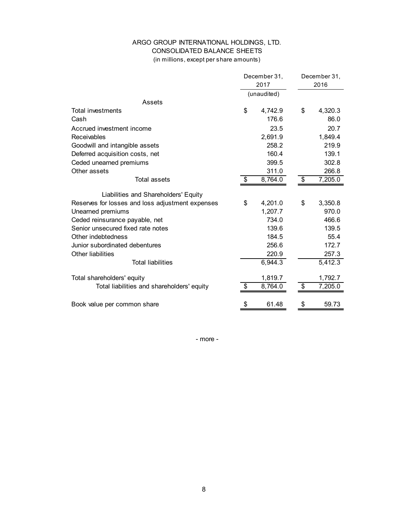# ARGO GROUP INTERNATIONAL HOLDINGS, LTD. CONSOLIDATED BALANCE SHEETS

| ARGO GROUP INTERNATIONAL HOLDINGS, LTD.                               |                          |                           |                  |
|-----------------------------------------------------------------------|--------------------------|---------------------------|------------------|
| CONSOLIDATED BALANCE SHEETS                                           |                          |                           |                  |
| (in millions, except per share amounts)                               |                          |                           |                  |
|                                                                       | December 31,             |                           | December 31,     |
|                                                                       | 2017                     |                           | 2016             |
|                                                                       | (unaudited)              |                           |                  |
| Assets                                                                |                          |                           |                  |
| Total investments                                                     | \$<br>4,742.9            | \$                        | 4,320.3          |
| Cash                                                                  | 176.6                    |                           | 86.0             |
| Accrued investment income                                             | 23.5                     |                           | 20.7             |
| Receivables                                                           | 2,691.9<br>258.2         |                           | 1,849.4<br>219.9 |
| Goodwill and intangible assets<br>Deferred acquisition costs, net     | 160.4                    |                           | 139.1            |
| Ceded unearned premiums                                               | 399.5                    |                           | 302.8            |
| Other assets                                                          | 311.0                    |                           | 266.8            |
| <b>Total assets</b>                                                   | \$<br>8,764.0            | \$                        | 7,205.0          |
|                                                                       |                          |                           |                  |
| Liabilities and Shareholders' Equity                                  |                          |                           |                  |
| Reserves for losses and loss adjustment expenses<br>Unearned premiums | \$<br>4,201.0<br>1,207.7 | \$                        | 3,350.8<br>970.0 |
| Ceded reinsurance payable, net                                        | 734.0                    |                           | 466.6            |
| Senior unsecured fixed rate notes                                     | 139.6                    |                           | 139.5            |
| Other indebtedness                                                    | 184.5                    |                           | 55.4             |
| Junior subordinated debentures                                        | 256.6                    |                           | 172.7            |
| Other liabilities                                                     | 220.9                    |                           | 257.3            |
| <b>Total liabilities</b>                                              | 6,944.3                  |                           | 5,412.3          |
| Total shareholders' equity                                            | 1,819.7                  |                           | 1,792.7          |
| Total liabilities and shareholders' equity                            | \$<br>8,764.0            | $\boldsymbol{\mathsf{S}}$ | 7,205.0          |
| Book value per common share                                           | \$<br>61.48              | \$                        | 59.73            |
|                                                                       |                          |                           |                  |
|                                                                       |                          |                           |                  |
|                                                                       |                          |                           |                  |
| - more -                                                              |                          |                           |                  |
|                                                                       |                          |                           |                  |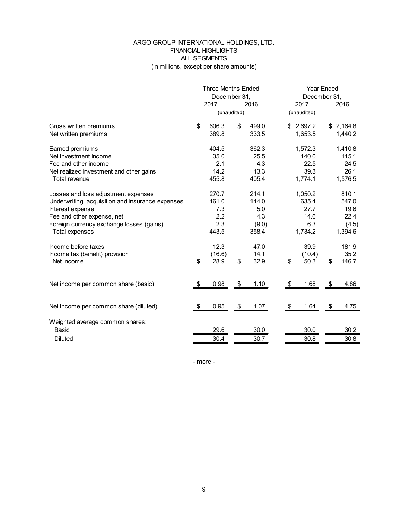# ARGO GROUP INTERNATIONAL HOLDINGS, LTD. FINANCIAL HIGHLIGHTS ALL SEGMENTS (in millions, except per share amounts)

| ARGO GROUP INTERNATIONAL HOLDINGS, LTD.                                                    |                         | <b>FINANCIAL HIGHLIGHTS</b><br>ALL SEGMENTS |                        |                     |               |                           |               |                       |
|--------------------------------------------------------------------------------------------|-------------------------|---------------------------------------------|------------------------|---------------------|---------------|---------------------------|---------------|-----------------------|
| (in millions, except per share amounts)                                                    |                         |                                             |                        |                     |               |                           |               |                       |
|                                                                                            |                         | <b>Three Months Ended</b><br>December 31,   |                        |                     |               | Year Ended<br>December 31 |               |                       |
|                                                                                            |                         | 2017                                        | (unaudited)            | 2016                |               | 2017<br>(unaudited)       |               | 2016                  |
| Gross written premiums<br>Net written premiums                                             | \$                      | 606.3<br>389.8                              | \$                     | 499.0<br>333.5      |               | \$2,697.2<br>1,653.5      |               | \$2,164.8<br>1,440.2  |
| Earned premiums<br>Net investment income                                                   |                         | 404.5<br>35.0                               |                        | 362.3<br>25.5       |               | 1,572.3<br>140.0          |               | 1,410.8<br>115.1      |
| Fee and other income<br>Net realized investment and other gains                            |                         | 2.1<br>14.2                                 |                        | 4.3<br>13.3         |               | 22.5<br>39.3              |               | 24.5<br>26.1          |
| Total revenue                                                                              |                         | 455.8                                       |                        | 405.4               |               | 1,774.1                   |               | 1,576.5               |
| Losses and loss adjustment expenses<br>Underwriting, acquisition and insurance expenses    |                         | 270.7<br>161.0                              |                        | 214.1<br>144.0      |               | 1,050.2<br>635.4          |               | 810.1<br>547.0        |
| Interest expense<br>Fee and other expense, net<br>Foreign currency exchange losses (gains) |                         | 7.3<br>2.2<br>2.3                           |                        | 5.0<br>4.3<br>(9.0) |               | 27.7<br>14.6<br>6.3       |               | 19.6<br>22.4<br>(4.5) |
| Total expenses                                                                             |                         | 443.5                                       |                        | 358.4               |               | 1,734.2                   |               | 1,394.6               |
| Income before taxes<br>Income tax (benefit) provision                                      |                         | 12.3<br>(16.6)                              |                        | 47.0<br>14.1        |               | 39.9<br>(10.4)            |               | 181.9<br>35.2         |
| Net income                                                                                 | $\overline{\mathbf{e}}$ | 28.9                                        | $\sqrt{\frac{2}{\pi}}$ | 32.9                | $\frac{1}{2}$ | $\overline{50.3}$         | $\bullet$     | 146.7                 |
| Net income per common share (basic)                                                        | \$                      | 0.98                                        | $\sqrt{2}$             | 1.10                | $\frac{1}{2}$ | 1.68                      | \$            | 4.86                  |
| Net income per common share (diluted)                                                      | \$                      | 0.95                                        | $\sqrt{2}$             | 1.07                | $\frac{1}{2}$ | 1.64                      | $\frac{1}{2}$ | 4.75                  |
| Weighted average common shares:<br>Basic                                                   |                         | 29.6                                        |                        | 30.0                |               | 30.0                      |               | 30.2                  |
| Diluted                                                                                    |                         | 30.4                                        |                        | 30.7                |               | 30.8                      |               | 30.8                  |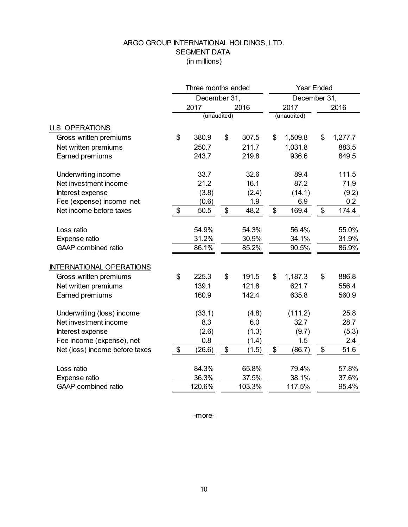# ARGO GROUP INTERNATIONAL HOLDINGS, LTD. SEGMENT DATA (in millions)

| ARGO GROUP INTERNATIONAL HOLDINGS, LTD.                     |                            |                     |               |                |                |                     |                         |              |
|-------------------------------------------------------------|----------------------------|---------------------|---------------|----------------|----------------|---------------------|-------------------------|--------------|
|                                                             |                            | <b>SEGMENT DATA</b> |               |                |                |                     |                         |              |
|                                                             |                            | (in millions)       |               |                |                |                     |                         |              |
|                                                             |                            |                     |               |                |                |                     |                         |              |
|                                                             |                            | Three months ended  |               |                |                | <b>Year Ended</b>   |                         |              |
|                                                             |                            | December 31,        |               |                |                | December 31,        |                         |              |
|                                                             |                            | 2017                | (unaudited)   | 2016           |                | 2017<br>(unaudited) |                         | 2016         |
| <b>U.S. OPERATIONS</b>                                      |                            |                     |               |                |                |                     |                         |              |
| Gross written premiums                                      | \$                         | 380.9               | $\frac{1}{2}$ | 307.5          | \$             | 1,509.8             | \$                      | 1,277.7      |
| Net written premiums                                        |                            | 250.7               |               | 211.7          |                | 1,031.8             |                         | 883.5        |
| Earned premiums                                             |                            | 243.7               |               | 219.8          |                | 936.6               |                         | 849.5        |
| Underwriting income                                         |                            | 33.7                |               | 32.6           |                | 89.4                |                         | 111.5        |
| Net investment income                                       |                            | 21.2                |               | 16.1           |                | 87.2                |                         | 71.9         |
| Interest expense                                            |                            | (3.8)               |               | (2.4)          |                | (14.1)              |                         | (9.2)        |
| Fee (expense) income net<br>Net income before taxes         | \$                         | (0.6)<br>50.5       | \$            | 1.9<br>48.2    | $\mathfrak{L}$ | 6.9<br>169.4        | \$                      | 0.2<br>174.4 |
|                                                             |                            |                     |               |                |                |                     |                         |              |
| Loss ratio                                                  |                            | 54.9%               |               | 54.3%          |                | 56.4%               |                         | 55.0%        |
| Expense ratio                                               |                            | 31.2%               |               | 30.9%          |                | 34.1%               |                         | 31.9%        |
| GAAP combined ratio                                         |                            | 86.1%               |               | 85.2%          |                | 90.5%               |                         | 86.9%        |
| INTERNATIONAL OPERATIONS                                    |                            |                     |               |                |                |                     |                         |              |
| Gross written premiums                                      | \$                         | 225.3               | \$            | 191.5          | $\frac{1}{2}$  | 1,187.3             | \$                      | 886.8        |
| Net written premiums                                        |                            | 139.1               |               | 121.8          |                | 621.7               |                         | 556.4        |
| Earned premiums                                             |                            | 160.9               |               | 142.4          |                | 635.8               |                         | 560.9        |
| Underwriting (loss) income                                  |                            | (33.1)              |               | (4.8)          |                | (111.2)             |                         | 25.8         |
| Net investment income                                       |                            | 8.3                 |               | 6.0            |                | 32.7                |                         | 28.7         |
| Interest expense                                            |                            | (2.6)               |               | (1.3)          |                | (9.7)               |                         | (5.3)        |
| Fee income (expense), net<br>Net (loss) income before taxes | $\boldsymbol{\mathsf{\$}}$ | 0.8<br>(26.6)       | $\frac{1}{2}$ | (1.4)<br>(1.5) | $\sqrt[6]{2}$  | 1.5<br>(86.7)       | $\sqrt[6]{\frac{1}{2}}$ | 2.4<br>51.6  |
|                                                             |                            |                     |               |                |                |                     |                         |              |
| Loss ratio                                                  |                            | 84.3%               |               | 65.8%          |                | 79.4%               |                         | 57.8%        |
| Expense ratio                                               |                            | 36.3%               |               | 37.5%          |                | 38.1%               |                         | 37.6%        |
| GAAP combined ratio                                         |                            | 120.6%              |               | 103.3%         |                | 117.5%              |                         | 95.4%        |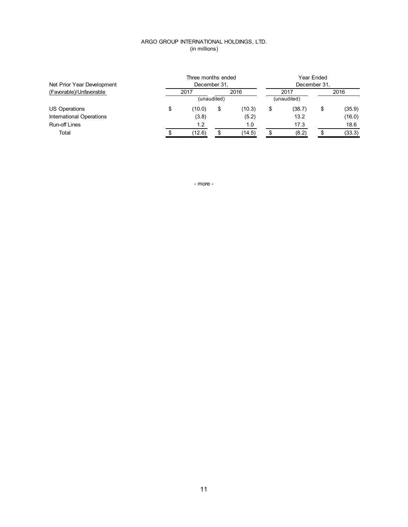### (in millions) ARGO GROUP INTERNATIONAL HOLDINGS, LTD.

|                                                       | ARGO GROUP INTERNATIONAL HOLDINGS, LTD. | (in millions)         |                  |                             |                |
|-------------------------------------------------------|-----------------------------------------|-----------------------|------------------|-----------------------------|----------------|
|                                                       |                                         |                       |                  |                             |                |
|                                                       |                                         | Three months ended    |                  | Year Ended                  |                |
| Net Prior Year Development<br>(Favorable)/Unfavorable |                                         | December 31,<br>2017  | 2016             | December 31,<br>2017        | 2016           |
| US Operations                                         | \$                                      | (unaudited)<br>(10.0) | \$<br>(10.3)     | \$<br>(unaudited)<br>(38.7) | \$<br>(35.9)   |
| <b>International Operations</b><br>Run-off Lines      |                                         | (3.8)<br>1.2          | (5.2)<br>$1.0\,$ | 13.2<br>17.3                | (16.0)<br>18.6 |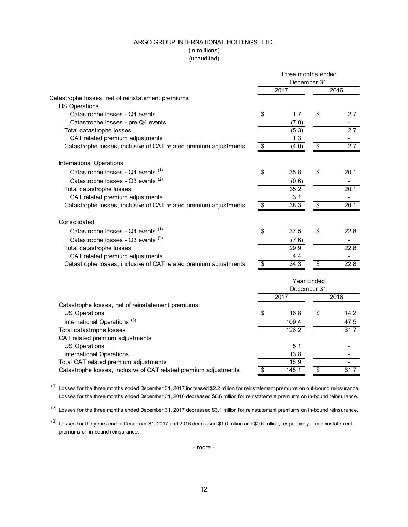### ARGO GROUP INTERNATIONAL HOLDINGS, LTD. (in millions) (unaudited)

| ARGO GROUP INTERNATIONAL HOLDINGS, LTD.<br>(in millions)                                                  |                           |                    |              |                          |
|-----------------------------------------------------------------------------------------------------------|---------------------------|--------------------|--------------|--------------------------|
|                                                                                                           |                           |                    |              |                          |
|                                                                                                           |                           |                    |              |                          |
|                                                                                                           |                           |                    |              |                          |
|                                                                                                           |                           |                    |              |                          |
| (unaudited)                                                                                               |                           |                    |              |                          |
|                                                                                                           |                           |                    |              |                          |
|                                                                                                           |                           | Three months ended | December 31, |                          |
|                                                                                                           |                           | 2017               |              | 2016                     |
| Catastrophe losses, net of reinstatement premiums                                                         |                           |                    |              |                          |
| <b>US Operations</b>                                                                                      |                           |                    |              |                          |
| Catastrophe losses - Q4 events<br>Catastrophe losses - pre Q4 events                                      | \$                        | 1.7<br>(7.0)       | \$           | 2.7                      |
| Total catastrophe losses                                                                                  |                           | (5.3)              |              | 2.7                      |
| CAT related premium adjustments                                                                           |                           | 1.3                |              |                          |
| Catastrophe losses, inclusive of CAT related premium adjustments                                          | $\boldsymbol{\mathsf{S}}$ | (4.0)              | \$           | 2.7                      |
| International Operations                                                                                  |                           |                    |              |                          |
| Catastrophe losses - Q4 events (1)                                                                        | \$                        | 35.8               | \$           | 20.1                     |
| Catastrophe losses - Q3 events (2)                                                                        |                           | (0.6)              |              | $\sim$                   |
| Total catastrophe losses                                                                                  |                           | 35.2               |              | 20.1                     |
| CAT related premium adjustments                                                                           |                           | 3.1                |              | $\overline{\phantom{a}}$ |
| Catastrophe losses, inclusive of CAT related premium adjustments                                          | \$                        | 38.3               | \$           | 20.1                     |
| Consolidated                                                                                              |                           |                    |              |                          |
| Catastrophe losses - Q4 events (1)                                                                        | \$                        | 37.5               | \$           | 22.8                     |
| Catastrophe losses - Q3 events (2)                                                                        |                           | (7.6)              |              |                          |
| Total catastrophe losses                                                                                  |                           | 29.9               |              | 22.8                     |
| CAT related premium adjustments                                                                           |                           | 4.4                |              |                          |
| Catastrophe losses, inclusive of CAT related premium adjustments                                          | \$                        | 34.3               | \$           | 22.8                     |
|                                                                                                           |                           |                    | Year Ended   |                          |
|                                                                                                           |                           |                    | December 31, |                          |
|                                                                                                           |                           | 2017               |              | 2016                     |
| Catastrophe losses, net of reinstatement premiums:<br><b>US Operations</b>                                | \$                        | 16.8               | \$           | 14.2                     |
| International Operations <sup>(3)</sup>                                                                   |                           | 109.4              |              | 47.5                     |
| Total catastrophe losses                                                                                  |                           | 126.2              |              | 61.7                     |
| CAT related premium adjustments                                                                           |                           |                    |              |                          |
| <b>US Operations</b>                                                                                      |                           | 5.1                |              |                          |
| <b>International Operations</b>                                                                           |                           | 13.8               |              |                          |
| Total CAT related premium adjustments<br>Catastrophe losses, inclusive of CAT related premium adjustments | \$                        | 18.9<br>145.1      | \$           | 61.7                     |
|                                                                                                           |                           |                    |              |                          |

(3) Losses for the years ended December 31, 2017 and 2016 decreased \$1.0 million and \$0.6 million, respectively, for reinstatement premiums on in-bound reinsurance.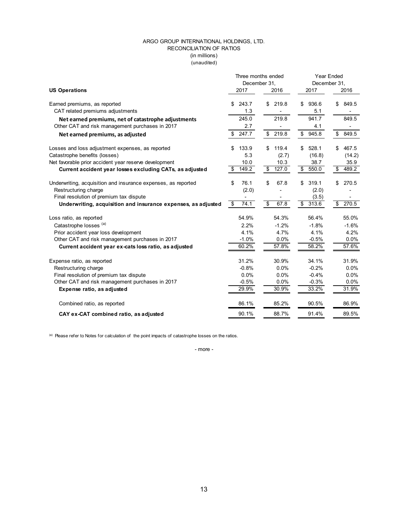### ARGO GROUP INTERNATIONAL HOLDINGS, LTD. RECONCILIATION OF RATIOS (in millions)

| ARGO GROUP INTERNATIONAL HOLDINGS, LTD.                                                                           |                          |                          |                      |                          |
|-------------------------------------------------------------------------------------------------------------------|--------------------------|--------------------------|----------------------|--------------------------|
| RECONCILIATION OF RATIOS                                                                                          |                          |                          |                      |                          |
| (in millions)                                                                                                     |                          |                          |                      |                          |
| (unaudited)                                                                                                       |                          |                          |                      |                          |
|                                                                                                                   |                          |                          |                      |                          |
|                                                                                                                   | Three months ended       |                          | Year Ended           |                          |
|                                                                                                                   | December 31,<br>2017     | 2016                     | December 31,<br>2017 | 2016                     |
| <b>US Operations</b>                                                                                              |                          |                          |                      |                          |
| Earned premiums, as reported                                                                                      | \$243.7                  | \$219.8                  | \$936.6              | 849.5<br>\$              |
| CAT related premiums adjustments                                                                                  | 1.3                      | $\sim$                   | 5.1                  | $\sim$                   |
| Net earned premiums, net of catastrophe adjustments                                                               | 245.0                    | 219.8                    | 941.7                | 849.5                    |
| Other CAT and risk management purchases in 2017                                                                   | 2.7                      | $\overline{\phantom{a}}$ | 4.1                  | $\sim$                   |
| Net earned premiums, as adjusted                                                                                  | \$247.7                  | \$219.8                  | \$945.8              | \$849.5                  |
|                                                                                                                   |                          |                          |                      |                          |
| Losses and loss adjustment expenses, as reported                                                                  | 133.9<br>\$              | \$119.4                  | \$528.1              | \$467.5                  |
| Catastrophe benefits (losses)                                                                                     | 5.3                      | (2.7)                    | (16.8)               | (14.2)                   |
| Net favorable prior accident year reserve development<br>Current accident year losses excluding CATs, as adjusted | 10.0<br>149.2<br>\$      | 10.3<br>\$<br>127.0      | 38.7<br>\$550.0      | 35.9<br>\$<br>489.2      |
|                                                                                                                   |                          |                          |                      |                          |
| Underwriting, acquisition and insurance expenses, as reported                                                     | 76.1<br>\$               | 67.8<br>\$               | \$319.1              | \$270.5                  |
| Restructuring charge                                                                                              | (2.0)                    |                          | (2.0)                |                          |
| Final resolution of premium tax dispute                                                                           | $\overline{\phantom{0}}$ | $\overline{\phantom{0}}$ | (3.5)                | $\overline{\phantom{a}}$ |
| Underwriting, acquisition and insurance expenses, as adjusted                                                     | \$<br>74.1               | 67.8<br>\$               | \$313.6              | 270.5<br>\$              |
|                                                                                                                   |                          |                          |                      |                          |
| Loss ratio, as reported                                                                                           | 54.9%                    | 54.3%                    | 56.4%                | 55.0%                    |
| Catastrophe losses (a)<br>Prior accident year loss development                                                    | 2.2%<br>4.1%             | $-1.2%$<br>4.7%          | $-1.8%$<br>4.1%      | $-1.6%$<br>4.2%          |
| Other CAT and risk management purchases in 2017                                                                   | $-1.0%$                  | 0.0%                     | $-0.5%$              | 0.0%                     |
| Current accident year ex-cats loss ratio, as adjusted                                                             | 60.2%                    | 57.8%                    | 58.2%                | 57.6%                    |
|                                                                                                                   |                          |                          |                      |                          |
| Expense ratio, as reported                                                                                        | 31.2%                    | 30.9%                    | 34.1%                | 31.9%                    |
| Restructuring charge                                                                                              | $-0.8%$                  | 0.0%                     | $-0.2%$              | 0.0%                     |
| Final resolution of premium tax dispute                                                                           | 0.0%                     | 0.0%                     | $-0.4%$              | 0.0%                     |
| Other CAT and risk management purchases in 2017                                                                   | $-0.5%$                  | 0.0%                     | $-0.3%$              | $0.0\%$                  |
|                                                                                                                   | 29.9%                    | 30.9%                    | 33.2%                | 31.9%                    |
| Expense ratio, as adjusted                                                                                        |                          |                          |                      |                          |
|                                                                                                                   |                          |                          |                      |                          |
| Combined ratio, as reported<br>CAY ex-CAT combined ratio, as adjusted                                             | 86.1%<br>90.1%           | 85.2%<br>88.7%           | 90.5%<br>91.4%       | 86.9%<br>89.5%           |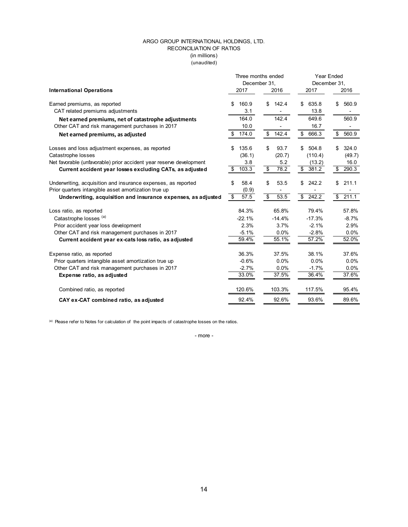#### ARGO GROUP INTERNATIONAL HOLDINGS, LTD. RECONCILIATION OF RATIOS (unaudited) (in millions)

| ARGO GROUP INTERNATIONAL HOLDINGS, LTD.                                                                               |                     |                          |                    |                          |
|-----------------------------------------------------------------------------------------------------------------------|---------------------|--------------------------|--------------------|--------------------------|
| RECONCILIATION OF RATIOS                                                                                              |                     |                          |                    |                          |
| (in millions)                                                                                                         |                     |                          |                    |                          |
| (unaudited)                                                                                                           |                     |                          |                    |                          |
|                                                                                                                       | Three months ended  |                          | Year Ended         |                          |
|                                                                                                                       | December 31,        |                          | December 31,       |                          |
| <b>International Operations</b>                                                                                       | 2017                | 2016                     | 2017               | 2016                     |
| Earned premiums, as reported                                                                                          | \$<br>160.9         | \$142.4                  | \$635.8            | 560.9<br>\$              |
| CAT related premiums adjustments                                                                                      | 3.1                 | $\sim$                   | 13.8               | $\sim$                   |
| Net earned premiums, net of catastrophe adjustments                                                                   | 164.0               | 142.4                    | 649.6              | 560.9                    |
| Other CAT and risk management purchases in 2017                                                                       | 10.0                | $\overline{\phantom{a}}$ | 16.7               | $\overline{\phantom{a}}$ |
| Net earned premiums, as adjusted                                                                                      | 174.0<br>\$         | \$142.4                  | \$666.3            | 560.9<br>\$              |
| Losses and loss adjustment expenses, as reported                                                                      | \$135.6             | 93.7<br>\$               | \$504.8            | 324.0<br>\$              |
| Catastrophe losses                                                                                                    | (36.1)              | (20.7)                   | (110.4)            | (49.7)                   |
| Net favorable (unfavorable) prior accident year reserve development                                                   | 3.8                 | 5.2                      | (13.2)             | 16.0                     |
| Current accident year losses excluding CATs, as adjusted                                                              | 103.3<br>\$         | 78.2<br>\$               | 381.2<br>\$        | \$<br>290.3              |
|                                                                                                                       |                     |                          |                    |                          |
| Underwriting, acquisition and insurance expenses, as reported<br>Prior quarters intangible asset amortization true up | 58.4<br>\$<br>(0.9) | 53.5<br>\$               | \$242.2            | \$211.1                  |
| Underwriting, acquisition and insurance expenses, as adjusted                                                         | \$<br>57.5          | 53.5<br>\$               | \$242.2            | \$<br>211.1              |
|                                                                                                                       |                     |                          |                    |                          |
| Loss ratio, as reported                                                                                               | 84.3%               | 65.8%                    | 79.4%              | 57.8%                    |
| Catastrophe losses (a)                                                                                                | $-22.1%$            | $-14.4%$                 | $-17.3%$           | $-8.7%$                  |
| Prior accident year loss development<br>Other CAT and risk management purchases in 2017                               | 2.3%<br>$-5.1%$     | 3.7%<br>0.0%             | $-2.1%$<br>$-2.8%$ | 2.9%<br>0.0%             |
| Current accident year ex-cats loss ratio, as adjusted                                                                 | 59.4%               | 55.1%                    | 57.2%              | 52.0%                    |
|                                                                                                                       |                     |                          |                    |                          |
| Expense ratio, as reported                                                                                            | 36.3%               | 37.5%                    | 38.1%              | 37.6%                    |
| Prior quarters intangible asset amortization true up                                                                  | $-0.6%$             | 0.0%                     | 0.0%               | 0.0%                     |
|                                                                                                                       | $-2.7%$<br>33.0%    | 0.0%<br>37.5%            | $-1.7%$<br>36.4%   | 0.0%<br>37.6%            |
| Other CAT and risk management purchases in 2017                                                                       |                     |                          |                    |                          |
| Expense ratio, as adjusted                                                                                            |                     |                          |                    |                          |
| Combined ratio, as reported                                                                                           | 120.6%              | 103.3%                   | 117.5%             | 95.4%                    |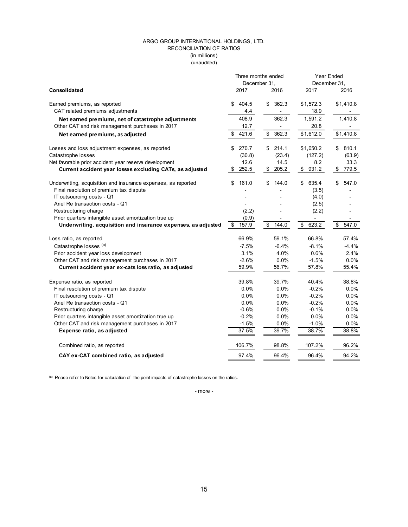## ARGO GROUP INTERNATIONAL HOLDINGS, LTD. RECONCILIATION OF RATIOS (in millions)

| ARGO GROUP INTERNATIONAL HOLDINGS, LTD.                                                                |                      |                                   |                      |                          |
|--------------------------------------------------------------------------------------------------------|----------------------|-----------------------------------|----------------------|--------------------------|
| RECONCILIATION OF RATIOS                                                                               |                      |                                   |                      |                          |
| (in millions)<br>(unaudited)                                                                           |                      |                                   |                      |                          |
|                                                                                                        |                      |                                   |                      |                          |
|                                                                                                        |                      | Three months ended                | Year Ended           |                          |
| Consolidated                                                                                           | December 31,<br>2017 | 2016                              | December 31,<br>2017 | 2016                     |
|                                                                                                        |                      |                                   |                      |                          |
| Earned premiums, as reported                                                                           | \$404.5              | \$362.3                           | \$1,572.3            | \$1,410.8                |
| CAT related premiums adjustments                                                                       | 4.4                  | $\sim$                            | 18.9                 | $\overline{\phantom{a}}$ |
| Net earned premiums, net of catastrophe adjustments<br>Other CAT and risk management purchases in 2017 | 408.9<br>12.7        | 362.3<br>$\overline{\phantom{a}}$ | 1,591.2<br>20.8      | 1,410.8                  |
| Net earned premiums, as adjusted                                                                       | 421.6<br>\$          | 362.3<br>\$                       | \$1,612.0            | \$1,410.8                |
|                                                                                                        |                      |                                   |                      |                          |
| Losses and loss adjustment expenses, as reported<br>Catastrophe losses                                 | \$270.7<br>(30.8)    | \$214.1<br>(23.4)                 | \$1,050.2<br>(127.2) | \$810.1<br>(63.9)        |
| Net favorable prior accident year reserve development                                                  | 12.6                 | 14.5                              | 8.2                  | 33.3                     |
| Current accident year losses excluding CATs, as adjusted                                               | 252.5<br>\$          | 205.2<br>\$                       | \$931.2              | \$779.5                  |
| Underwriting, acquisition and insurance expenses, as reported                                          | 161.0<br>\$          | \$<br>144.0                       | \$635.4              | 547.0<br>\$              |
| Final resolution of premium tax dispute                                                                |                      |                                   | (3.5)                |                          |
| IT outsourcing costs - Q1                                                                              |                      |                                   | (4.0)                |                          |
| Ariel Re transaction costs - Q1                                                                        |                      |                                   | (2.5)                |                          |
| Restructuring charge<br>Prior quarters intangible asset amortization true up                           | (2.2)<br>(0.9)       |                                   | (2.2)                |                          |
| Underwriting, acquisition and insurance expenses, as adjusted                                          | \$157.9              | \$<br>144.0                       | 623.2<br>\$          | 547.0<br>\$              |
|                                                                                                        | 66.9%                | 59.1%                             | 66.8%                | 57.4%                    |
| Loss ratio, as reported<br>Catastrophe losses (a)                                                      | $-7.5%$              | $-6.4%$                           | $-8.1%$              | $-4.4%$                  |
| Prior accident year loss development                                                                   | 3.1%                 | 4.0%                              | 0.6%                 | 2.4%                     |
| Other CAT and risk management purchases in 2017                                                        | $-2.6%$              | 0.0%                              | $-1.5%$              | 0.0%                     |
| Current accident year ex-cats loss ratio, as adjusted                                                  | 59.9%                | 56.7%                             | 57.8%                | 55.4%                    |
| Expense ratio, as reported                                                                             | 39.8%                | 39.7%                             | 40.4%                | 38.8%                    |
| Final resolution of premium tax dispute                                                                | 0.0%                 | 0.0%                              | $-0.2%$              | 0.0%                     |
| IT outsourcing costs - Q1                                                                              | 0.0%                 | 0.0%                              | $-0.2%$              | 0.0%                     |
| Ariel Re transaction costs - Q1                                                                        | 0.0%                 | 0.0%                              | $-0.2%$              | 0.0%                     |
| Restructuring charge<br>Prior quarters intangible asset amortization true up                           | $-0.6%$<br>$-0.2%$   | 0.0%<br>0.0%                      | $-0.1%$<br>0.0%      | 0.0%<br>0.0%             |
| Other CAT and risk management purchases in 2017                                                        | $-1.5%$              | 0.0%                              | $-1.0%$              | 0.0%                     |
| Expense ratio, as adjusted                                                                             | 37.5%                | 39.7%                             | 38.7%                | 38.8%                    |
| Combined ratio, as reported                                                                            | 106.7%               | 98.8%                             | 107.2%               | 96.2%                    |
| CAY ex-CAT combined ratio, as adjusted                                                                 | 97.4%                | 96.4%                             | 96.4%                | 94.2%                    |
|                                                                                                        |                      |                                   |                      |                          |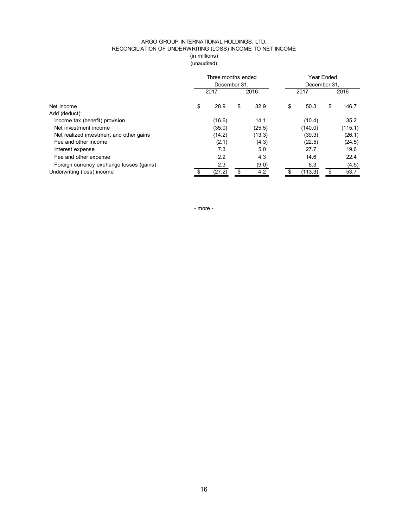### ARGO GROUP INTERNATIONAL HOLDINGS, LTD. RECONCILIATION OF UNDERWRITING (LOSS) INCOME TO NET INCOME (in millions)  $($

|                                                            | ARGO GROUP INTERNATIONAL HOLDINGS, LTD. |                                    |                          |        |                            |                          |         |
|------------------------------------------------------------|-----------------------------------------|------------------------------------|--------------------------|--------|----------------------------|--------------------------|---------|
| RECONCILIATION OF UNDERWRITING (LOSS) INCOME TO NET INCOME | (in millions)                           |                                    |                          |        |                            |                          |         |
|                                                            | (unaudited)                             |                                    |                          |        |                            |                          |         |
|                                                            |                                         | Three months ended<br>December 31, |                          |        | Year Ended<br>December 31, |                          |         |
|                                                            |                                         | 2017                               |                          | 2016   | 2017                       |                          | 2016    |
| Net Income                                                 | \$                                      | 28.9                               | \$                       | 32.9   | \$<br>50.3                 | \$                       | 146.7   |
| Add (deduct):<br>Income tax (benefit) provision            |                                         | (16.6)                             |                          | 14.1   | (10.4)                     |                          | 35.2    |
| Net investment income                                      |                                         | (35.0)                             |                          | (25.5) | (140.0)                    |                          | (115.1) |
| Net realized investment and other gains                    |                                         | (14.2)                             |                          | (13.3) | (39.3)                     |                          | (26.1)  |
| Fee and other income                                       |                                         | (2.1)                              |                          | (4.3)  | (22.5)                     |                          | (24.5)  |
|                                                            |                                         | 7.3                                |                          | 5.0    | 27.7                       |                          | 19.6    |
| Interest expense                                           |                                         | 2.2                                |                          | 4.3    | 14.6                       |                          | 22.4    |
| Fee and other expense                                      |                                         | 2.3                                |                          | (9.0)  | 6.3                        |                          | (4.5)   |
| Foreign currency exchange losses (gains)                   |                                         | (27.2)                             | $\overline{\mathcal{F}}$ | 4.2    | \$<br>(113.3)              | $\overline{\mathcal{F}}$ | 53.7    |
| Underwriting (loss) income                                 | \$                                      |                                    |                          |        |                            |                          |         |
|                                                            |                                         |                                    |                          |        |                            |                          |         |
|                                                            |                                         |                                    |                          |        |                            |                          |         |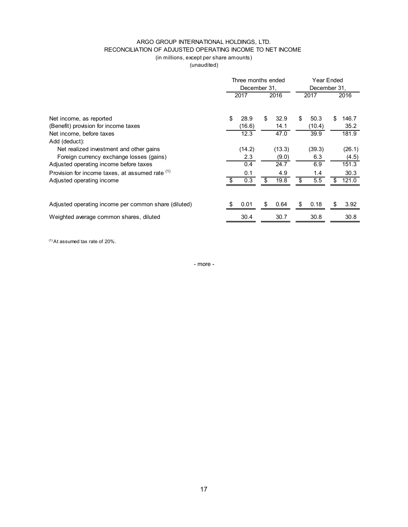# ARGO GROUP INTERNATIONAL HOLDINGS, LTD. RECONCILIATION OF ADJUSTED OPERATING INCOME TO NET INCOME

(in millions, except per share amounts) (unaudited)

LDINGS, LTD.<br>
ICOME TO NET INCOME<br>
INCOME TO NET INCOME<br>
2017 2016 2017 2016<br>
2017 2016 2017 2016<br>
28.9 \$ 32.9 \$ 50.3 \$ 146.7<br>
<u>(16.6) 14.1</u> (10.4) 35.2<br>
12.3 47.0 39.9 181.9 ARGO GROUP INTERNATIONAL HOLDINGS, LTD.<br>
(In millions, except per share amounts)<br>
(In millions, except per share amounts)<br>
(In millions, except per share amounts)<br>
(In millions, except per share amounts)<br>
(Benefit) proxis ARGO GROUP INTERNATIONAL HOLDINGS, LTD.<br>
(In millions, except per share amounts)<br>
(In millions, except per share amounts)<br>
(In millions, except per share amounts)<br>
There months anded<br>
December 31.<br>
Net income, as reported ARGO GROUP INTERNATIONAL HOLDINGS, LTD.<br>
RECONCILIATION (in millions, except per share amounts)<br>
(in millions, except per share amounts)<br>
(in millions, except per share amounts)<br>
(in millions, except per share amounts)<br>
T ARGO GROUP INTERNATIONAL HOLDINGS, LTD.<br>
RECONCILIATION OF ADJUSTED OPERATING INCOME TO NET INCOME<br>
(Immillions, except per share amounts)<br>  $\frac{1060 \text{ from 2016} \text{ J}}{2017} = \frac{1060 \text{ from 31.}}{2016}$ <br>
Net income, as reported<br>
( RECONCILLATION OF ADUSTED OPERATING INCOME TO NET INCOME<br>
(In millions, except per share amounts)<br>
(in maillions).<br>
There months ended<br>
The months ended<br>
The months ended<br>
The months ended<br>
The months ended<br>
The months en DLDINGS, LTD.<br>
INCOME TO NET INCOME<br>
mounts)<br>
Three months ended<br>
December 31,<br>
2017 2016 2017 2016<br>
32.9 \$32.9 \$50.3 \$146.7 DINGS, LTD.<br>
COME TO NET INCOME<br>
unts)<br>
ee months ended<br>
December 31,<br>
117 2016 2017 2016<br>
28.9 \$ 32.9 \$ 50.3 \$ 146.7<br>
16.6) 14.1 (10.4) 35.2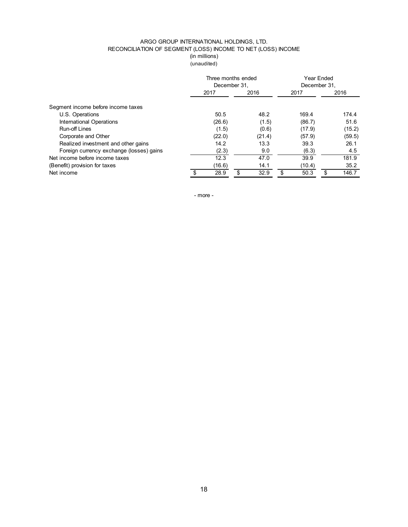## ARGO GROUP INTERNATIONAL HOLDINGS, LTD. RECONCILIATION OF SEGMENT (LOSS) INCOME TO NET (LOSS) INCOME (in millions)

| ARGO GROUP INTERNATIONAL HOLDINGS, LTD.                      |             |                                    |            |              |                          |                            |                 |               |
|--------------------------------------------------------------|-------------|------------------------------------|------------|--------------|--------------------------|----------------------------|-----------------|---------------|
| RECONCILIATION OF SEGMENT (LOSS) INCOME TO NET (LOSS) INCOME |             |                                    |            |              |                          |                            |                 |               |
|                                                              |             | (in millions)                      |            |              |                          |                            |                 |               |
|                                                              | (unaudited) |                                    |            |              |                          |                            |                 |               |
|                                                              |             | Three months ended<br>December 31, |            |              |                          | Year Ended<br>December 31, |                 |               |
|                                                              |             | 2017                               |            | 2016         |                          | 2017                       |                 | 2016          |
|                                                              |             |                                    |            |              |                          |                            |                 |               |
|                                                              |             |                                    |            |              |                          | 169.4                      |                 | 174.4         |
| Segment income before income taxes                           |             |                                    |            |              |                          |                            |                 |               |
| U.S. Operations                                              |             | 50.5                               |            | 48.2         |                          |                            |                 |               |
| <b>International Operations</b>                              |             | (26.6)                             |            | (1.5)        |                          | (86.7)                     |                 | 51.6          |
| Run-off Lines                                                |             | (1.5)                              |            | (0.6)        |                          | (17.9)                     |                 | (15.2)        |
| Corporate and Other                                          |             | (22.0)                             |            | (21.4)       |                          | (57.9)                     |                 | (59.5)        |
| Realized investment and other gains                          |             | 14.2                               |            | 13.3         |                          | 39.3                       |                 | 26.1          |
| Foreign currency exchange (losses) gains                     |             | (2.3)                              |            | 9.0          |                          | (6.3)                      |                 | 4.5           |
| Net income before income taxes                               |             | 12.3                               |            | 47.0         |                          | 39.9                       |                 | 181.9         |
| (Benefit) provision for taxes<br>Net income                  | £.          | (16.6)<br>28.9                     | $\sqrt{3}$ | 14.1<br>32.9 | $\overline{\mathcal{S}}$ | (10.4)<br>50.3             | $\overline{\$}$ | 35.2<br>146.7 |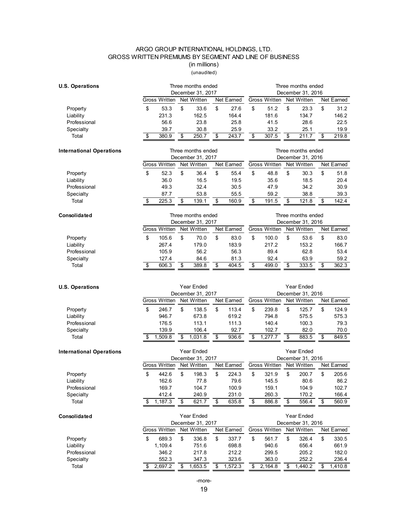### ARGO GROUP INTERNATIONAL HOLDINGS, LTD. GROSS WRITTEN PREMIUMS BY SEGMENT AND LINE OF BUSINESS (in millions)

|                                 |                      |                          | ARGO GROUP INTERNATIONAL HOLDINGS, LTD.<br>GROSS WRITTEN PREMIUMS BY SEGMENT AND LINE OF BUSINESS |                            |                |           |                      |               |                                  |                 |                |
|---------------------------------|----------------------|--------------------------|---------------------------------------------------------------------------------------------------|----------------------------|----------------|-----------|----------------------|---------------|----------------------------------|-----------------|----------------|
|                                 |                      |                          | (in millions)                                                                                     |                            |                |           |                      |               |                                  |                 |                |
|                                 |                      |                          | (unaudited)                                                                                       |                            |                |           |                      |               |                                  |                 |                |
| <b>U.S. Operations</b>          |                      |                          | Three months ended                                                                                |                            |                |           |                      |               | Three months ended               |                 |                |
|                                 |                      |                          | December 31, 2017                                                                                 |                            |                |           |                      |               | December 31, 2016                |                 |                |
|                                 | Gross Written        |                          | Net Written                                                                                       |                            | Net Earned     |           | Gross Written        |               | Net Written                      |                 | Net Earned     |
| Property<br>Liability           | \$<br>53.3<br>231.3  | \$                       | 33.6<br>162.5                                                                                     | \$                         | 27.6<br>164.4  | \$        | 51.2<br>181.6        | \$            | 23.3<br>134.7                    | \$              | 31.2<br>146.2  |
| Professional                    | 56.6                 |                          | 23.8                                                                                              |                            | 25.8           |           | 41.5                 |               | 28.6                             |                 | 22.5           |
| Specialty                       | 39.7                 |                          | 30.8                                                                                              |                            | 25.9           |           | 33.2                 |               | 25.1                             |                 | 19.9           |
| Total                           | \$<br>380.9          | \$                       | 250.7                                                                                             | \$                         | 243.7          | \$        | 307.5                | \$            | 211.7                            | $\bullet$       | 219.8          |
| <b>International Operations</b> |                      |                          | Three months ended                                                                                |                            |                |           |                      |               | Three months ended               |                 |                |
|                                 |                      |                          | December 31, 2017                                                                                 |                            |                |           |                      |               | December 31, 2016                |                 |                |
|                                 | <b>Gross Written</b> |                          | Net Written                                                                                       |                            | Net Earned     |           | Gross Written        |               | Net Written                      |                 | Net Earned     |
| Property<br>Liability           | \$<br>52.3<br>36.0   | \$                       | 36.4<br>16.5                                                                                      | \$                         | 55.4<br>19.5   | \$        | 48.8<br>35.6         | \$            | 30.3<br>18.5                     | \$              | 51.8<br>20.4   |
| Professional                    | 49.3                 |                          | 32.4                                                                                              |                            | 30.5           |           | 47.9                 |               | 34.2                             |                 | 30.9           |
| Specialty<br>Total              | 87.7<br>225.3        | \$                       | 53.8<br>139.1                                                                                     | \$                         | 55.5<br>160.9  | \$        | 59.2<br>191.5        | \$            | 38.8<br>121.8                    | \$              | 39.3<br>142.4  |
|                                 |                      |                          |                                                                                                   |                            |                |           |                      |               |                                  |                 |                |
| Consolidated                    |                      |                          | Three months ended                                                                                |                            |                |           |                      |               | Three months ended               |                 |                |
|                                 | Gross Written        |                          | December 31, 2017<br>Net Written                                                                  |                            | Net Earned     |           | <b>Gross Written</b> |               | December 31, 2016<br>Net Written |                 | Net Earned     |
| Property                        | \$<br>105.6          | \$                       | 70.0                                                                                              | $\boldsymbol{\mathsf{\$}}$ | 83.0           | $\,$      | 100.0                | $\sqrt[6]{3}$ | 53.6                             | \$              | 83.0           |
| Liability                       | 267.4                |                          | 179.0                                                                                             |                            | 183.9          |           | 217.2                |               | 153.2                            |                 | 166.7          |
| Professional                    | 105.9                |                          | 56.2                                                                                              |                            | 56.3           |           | 89.4                 |               | 62.8                             |                 | 53.4           |
| Specialty<br>Total              | \$<br>127.4<br>606.3 | \$                       | 84.6<br>389.8                                                                                     | \$                         | 81.3<br>404.5  | \$        | 92.4<br>499.0        | \$            | 63.9<br>333.5                    | $\overline{\$}$ | 59.2<br>362.3  |
|                                 |                      |                          |                                                                                                   |                            |                |           |                      |               |                                  |                 |                |
|                                 |                      |                          | Year Ended                                                                                        |                            |                |           |                      |               |                                  |                 |                |
| <b>U.S. Operations</b>          |                      |                          | December 31, 2017                                                                                 |                            |                |           |                      |               | Year Ended<br>December 31, 2016  |                 |                |
|                                 | Gross Written        |                          | Net Written                                                                                       |                            | Net Earned     |           | <b>Gross Written</b> |               | Net Written                      |                 | Net Earned     |
| Property                        | \$<br>246.7          | \$                       | 138.5                                                                                             | \$                         | 113.4          | \$        | 239.8                | \$            | 125.7                            | \$              | 124.9          |
| Liability<br>Professional       | 946.7<br>176.5       |                          | 673.8<br>113.1                                                                                    |                            | 619.2<br>111.3 |           | 794.8<br>140.4       |               | 575.5<br>100.3                   |                 | 575.3<br>79.3  |
| Specialty                       | 139.9                |                          | 106.4                                                                                             |                            | 92.7           |           | 102.7                |               | 82.0                             |                 | 70.0           |
|                                 | \$<br>1,509.8        | $\overline{\mathcal{F}}$ | 1,031.8                                                                                           | \$                         | 936.6          |           | \$1,277.7            | \$            | 883.5                            | $\overline{\$}$ | 849.5          |
| Total                           |                      |                          | Year Ended                                                                                        |                            |                |           |                      |               | Year Ended                       |                 |                |
|                                 |                      |                          | December 31, 2017                                                                                 |                            |                |           |                      |               | December 31, 2016                |                 |                |
| <b>International Operations</b> |                      |                          |                                                                                                   |                            | Net Earned     |           | <b>Gross Written</b> |               | <b>Net Written</b>               |                 | Net Earned     |
|                                 | <b>Gross Written</b> |                          | Net Written                                                                                       |                            | 224.3          | \$        | 321.9<br>145.5       | \$            | 200.7<br>80.6                    | \$              | 205.6<br>86.2  |
| Property                        | \$<br>442.6          | \$                       | 198.3                                                                                             | \$                         |                |           |                      |               | 104.9                            |                 | 102.7          |
| Liability<br>Professional       | 162.6<br>169.7       |                          | 77.8<br>104.7                                                                                     |                            | 79.6<br>100.9  |           | 159.1                |               |                                  |                 |                |
| Specialty                       | 412.4                |                          | 240.9                                                                                             |                            | 231.0          |           | 260.3                |               | 170.2                            |                 | 166.4          |
| Total                           | \$<br>1,187.3        | \$                       | 621.7                                                                                             | \$                         | 635.8          | $\bullet$ | 886.8                | \$            | 556.4                            | \$              | 560.9          |
| Consolidated                    |                      |                          | Year Ended                                                                                        |                            |                |           |                      |               | Year Ended                       |                 |                |
|                                 |                      |                          | December 31, 2017                                                                                 |                            |                |           |                      |               | December 31, 2016                |                 |                |
|                                 | Gross Written        |                          | Net Written                                                                                       |                            | Net Earned     |           | Gross Written        |               | Net Written                      |                 | Net Earned     |
| Property                        | \$<br>689.3          | \$                       | 336.8                                                                                             | \$                         | 337.7          | \$        | 561.7                | \$            | 326.4                            | \$              | 330.5          |
| Liability<br>Professional       | 1,109.4<br>346.2     |                          | 751.6<br>217.8                                                                                    |                            | 698.8<br>212.2 |           | 940.6<br>299.5       |               | 656.4<br>205.2                   |                 | 661.9<br>182.0 |
| Specialty                       | 552.3                |                          | 347.3                                                                                             |                            | 323.6          |           | 363.0                |               | 252.2                            |                 | 236.4          |
| Total                           | \$<br>2,697.2        | \$                       | 1,653.5                                                                                           | \$                         | 1,572.3        | \$        | 2,164.8              | \$            | 1,440.2                          | \$              | 1,410.8        |
|                                 |                      |                          | -more-                                                                                            |                            |                |           |                      |               |                                  |                 |                |
|                                 |                      |                          | 19                                                                                                |                            |                |           |                      |               |                                  |                 |                |
|                                 |                      |                          |                                                                                                   |                            |                |           |                      |               |                                  |                 |                |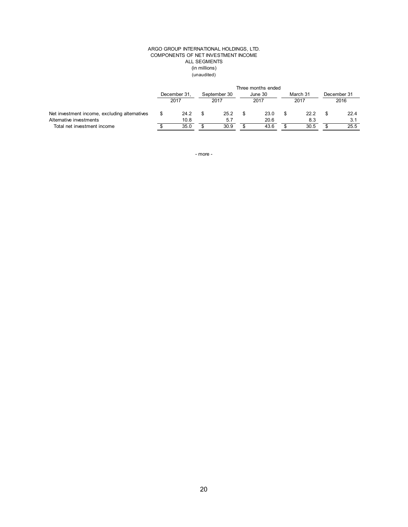#### ARGO GROUP INTERNATIONAL HOLDINGS, LTD. COMPONENTS OF NET INVESTMENT INCOME ALL SEGMENTS (in millions) (unaudited)

|                                                                          |                     | ARGO GROUP INTERNATIONAL HOLDINGS, LTD. |                              |                  |                      |                               |                          |                  |                          |             |  |
|--------------------------------------------------------------------------|---------------------|-----------------------------------------|------------------------------|------------------|----------------------|-------------------------------|--------------------------|------------------|--------------------------|-------------|--|
|                                                                          |                     | COMPONENTS OF NET INVESTMENT INCOME     | ALL SEGMENTS                 |                  |                      |                               |                          |                  |                          |             |  |
|                                                                          |                     |                                         | (in millions)<br>(unaudited) |                  |                      |                               |                          |                  |                          |             |  |
|                                                                          |                     | December 31,                            |                              | September 30     |                      | Three months ended<br>June 30 |                          | March 31         |                          | December 31 |  |
|                                                                          |                     | 2017                                    |                              | 2017             |                      | 2017                          |                          | 2017             |                          | 2016        |  |
| Net investment income, excluding alternatives<br>Alternative investments | \$                  | 24.2<br>10.8                            | \$                           | $25.2$ \$<br>5.7 |                      | 23.0<br>20.6                  | $\mathfrak s$            | $22.2$ \$<br>8.3 |                          | 22.4<br>3.1 |  |
| Total net investment income                                              | $\boldsymbol{\phi}$ | 35.0                                    | $\overline{\mathcal{S}}$     | 30.9             | $\sqrt{\frac{2}{3}}$ | 43.6                          | $\overline{\mathcal{S}}$ | 30.5             | $\overline{\mathcal{S}}$ | 25.5        |  |
|                                                                          |                     |                                         |                              |                  |                      |                               |                          |                  |                          |             |  |
|                                                                          |                     |                                         |                              |                  |                      |                               |                          |                  |                          |             |  |
|                                                                          |                     |                                         | - more -                     |                  |                      |                               |                          |                  |                          |             |  |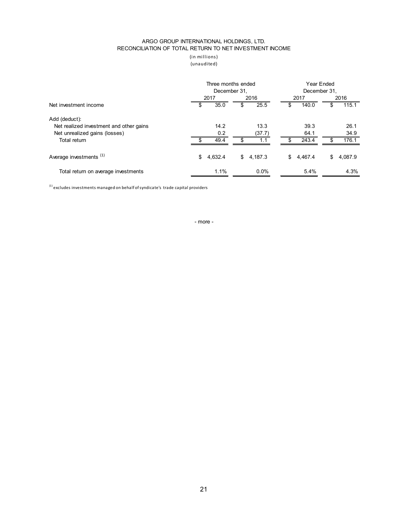#### ARGO GROUP INTERNATIONAL HOLDINGS, LTD. RECONCILIATION OF TOTAL RETURN TO NET INVESTMENT INCOME

| RECONCILIATION OF TOTAL RETURN TO NET INVESTMENT INCOME  | ARGO GROUP INTERNATIONAL HOLDINGS, LTD. |                                    |                         |           |                         |                            |      |           |
|----------------------------------------------------------|-----------------------------------------|------------------------------------|-------------------------|-----------|-------------------------|----------------------------|------|-----------|
|                                                          | (in millions)                           |                                    |                         |           |                         |                            |      |           |
|                                                          | (unaudited)                             |                                    |                         |           |                         |                            |      |           |
|                                                          |                                         |                                    |                         |           |                         |                            |      |           |
|                                                          |                                         | Three months ended<br>December 31, |                         |           |                         | Year Ended<br>December 31, |      |           |
|                                                          |                                         | 2017                               |                         | 2016      |                         | 2017                       | 2016 |           |
|                                                          |                                         |                                    | \$                      | 25.5      | \$                      | 140.0                      | \$   | 115.1     |
| Net investment income                                    | \$                                      | 35.0                               |                         |           |                         |                            |      |           |
|                                                          |                                         |                                    |                         |           |                         |                            |      |           |
| Add (deduct):<br>Net realized investment and other gains |                                         | 14.2                               |                         | 13.3      |                         | 39.3                       |      | 26.1      |
| Net unrealized gains (losses)                            |                                         | 0.2                                |                         | (37.7)    |                         | 64.1                       |      | 34.9      |
| Total return                                             | \$                                      | 49.4                               | $\sqrt[6]{\frac{1}{2}}$ | 1.1       | $\sqrt[6]{\frac{1}{2}}$ | 243.4                      | \$   | 176.1     |
| Average investments <sup>(1)</sup>                       | \$                                      | 4,632.4                            |                         | \$4,187.3 |                         | \$4,467.4                  |      | \$4,087.9 |